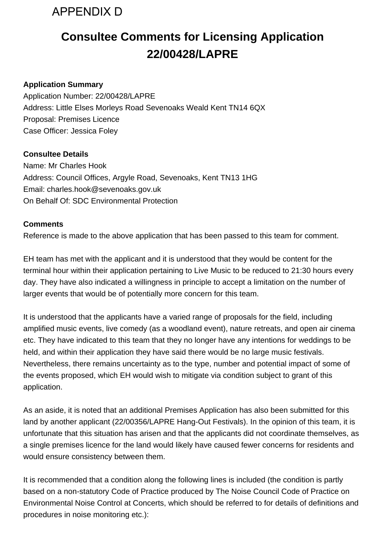

## **Consultee Comments for Licensing Application 22/00428/LAPRE**

## **Application Summary**

Application Number: 22/00428/LAPRE Address: Little Elses Morleys Road Sevenoaks Weald Kent TN14 6QX Proposal: Premises Licence Case Officer: Jessica Foley

## **Consultee Details**

Name: Mr Charles Hook Address: Council Offices, Argyle Road, Sevenoaks, Kent TN13 1HG Email: charles.hook@sevenoaks.gov.uk On Behalf Of: SDC Environmental Protection

## **Comments**

Reference is made to the above application that has been passed to this team for comment.

EH team has met with the applicant and it is understood that they would be content for the terminal hour within their application pertaining to Live Music to be reduced to 21:30 hours every day. They have also indicated a willingness in principle to accept a limitation on the number of larger events that would be of potentially more concern for this team.

It is understood that the applicants have a varied range of proposals for the field, including amplified music events, live comedy (as a woodland event), nature retreats, and open air cinema etc. They have indicated to this team that they no longer have any intentions for weddings to be held, and within their application they have said there would be no large music festivals. Nevertheless, there remains uncertainty as to the type, number and potential impact of some of the events proposed, which EH would wish to mitigate via condition subject to grant of this application.

As an aside, it is noted that an additional Premises Application has also been submitted for this land by another applicant (22/00356/LAPRE Hang-Out Festivals). In the opinion of this team, it is unfortunate that this situation has arisen and that the applicants did not coordinate themselves, as a single premises licence for the land would likely have caused fewer concerns for residents and would ensure consistency between them.

It is recommended that a condition along the following lines is included (the condition is partly based on a non-statutory Code of Practice produced by The Noise Council Code of Practice on Environmental Noise Control at Concerts, which should be referred to for details of definitions and procedures in noise monitoring etc.):